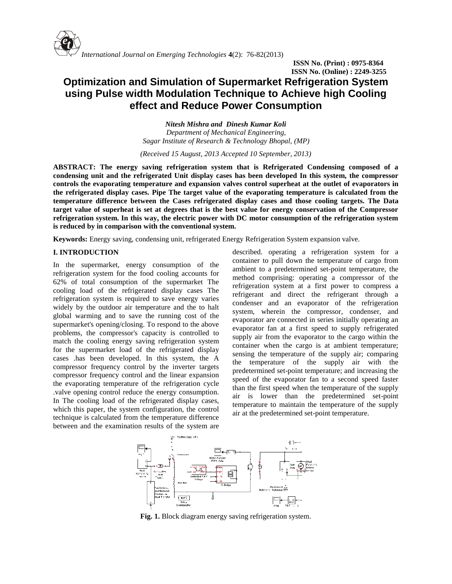

**ISSN No. (Print) : 0975-8364 ISSN No. (Online) : 2249-3255**

# **Optimization and Simulation of Supermarket Refrigeration System using Pulse width Modulation Technique to Achieve high Cooling effect and Reduce Power Consumption**

*Nitesh Mishra and Dinesh Kumar Koli Department of Mechanical Engineering, Sagar Institute of Research & Technology Bhopal, (MP)*

*(Received 15 August, 2013 Accepted 10 September, 2013)*

**ABSTRACT: The energy saving refrigeration system that is Refrigerated Condensing composed of a condensing unit and the refrigerated Unit display cases has been developed In this system, the compressor controls the evaporating temperature and expansion valves control superheat at the outlet of evaporators in the refrigerated display cases. Pipe The target value of the evaporating temperature is calculated from the temperature difference between the Cases refrigerated display cases and those cooling targets. The Data target value of superheat is set at degrees that is the best value for energy conservation of the Compressor refrigeration system. In this way, the electric power with DC motor consumption of the refrigeration system is reduced by in comparison with the conventional system.**

**Keywords:** Energy saving, condensing unit, refrigerated Energy Refrigeration System expansion valve.

# **I. INTRODUCTION**

In the supermarket, energy consumption of the refrigeration system for the food cooling accounts for 62% of total consumption of the supermarket The cooling load of the refrigerated display cases The refrigeration system is required to save energy varies widely by the outdoor air temperature and the to halt global warming and to save the running cost of the supermarket's opening/closing. To respond to the above problems, the compressor's capacity is controlled to match the cooling energy saving refrigeration system for the supermarket load of the refrigerated display cases .has been developed. In this system, the A the compressor frequency control by the inverter targets compressor frequency control and the linear expansion the evaporating temperature of the refrigeration cycle .valve opening control reduce the energy consumption. In The cooling load of the refrigerated display cases, which this paper, the system configuration, the control technique is calculated from the temperature difference between and the examination results of the system are

described. operating a refrigeration system for a container to pull down the temperature of cargo from ambient to a predetermined set-point temperature, the method comprising: operating a compressor of the refrigeration system at a first power to compress a refrigerant and direct the refrigerant through a condenser and an evaporator of the refrigeration system, wherein the compressor, condenser, and evaporator are connected in series initially operating an evaporator fan at a first speed to supply refrigerated supply air from the evaporator to the cargo within the container when the cargo is at ambient temperature; sensing the temperature of the supply air; comparing temperature of the supply air with the predetermined set-point temperature; and increasing the speed of the evaporator fan to a second speed faster than the first speed when the temperature of the supply air is lower than the predetermined set-point temperature to maintain the temperature of the supply air at the predetermined set-point temperature.



**Fig. 1.** Block diagram energy saving refrigeration system.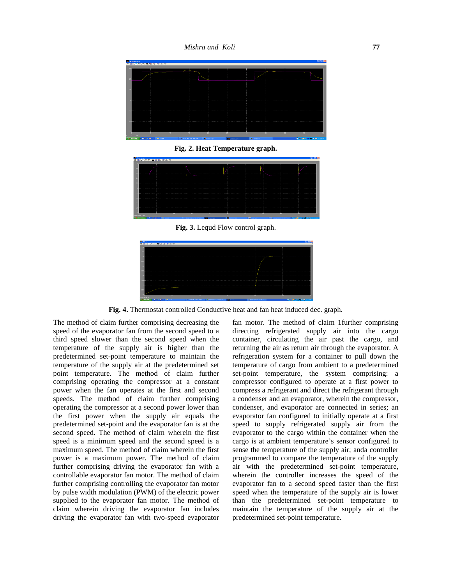*Mishra and Koli* **77**



**Fig. 2. Heat Temperature graph.**



**Fig. 3.** Lequd Flow control graph.



**Fig. 4.** Thermostat controlled Conductive heat and fan heat induced dec. graph.

The method of claim further comprising decreasing the speed of the evaporator fan from the second speed to a third speed slower than the second speed when the temperature of the supply air is higher than the predetermined set-point temperature to maintain the temperature of the supply air at the predetermined set point temperature. The method of claim further comprising operating the compressor at a constant power when the fan operates at the first and second speeds. The method of claim further comprising operating the compressor at a second power lower than the first power when the supply air equals the predetermined set-point and the evaporator fan is at the second speed. The method of claim wherein the first speed is a minimum speed and the second speed is a maximum speed. The method of claim wherein the first power is a maximum power. The method of claim further comprising driving the evaporator fan with a controllable evaporator fan motor. The method of claim further comprising controlling the evaporator fan motor by pulse width modulation (PWM) of the electric power supplied to the evaporator fan motor. The method of claim wherein driving the evaporator fan includes driving the evaporator fan with two-speed evaporator fan motor. The method of claim 1further comprising directing refrigerated supply air into the cargo container, circulating the air past the cargo, and returning the air as return air through the evaporator. A refrigeration system for a container to pull down the temperature of cargo from ambient to a predetermined set-point temperature, the system comprising: a compressor configured to operate at a first power to compress a refrigerant and direct the refrigerant through a condenser and an evaporator, wherein the compressor, condenser, and evaporator are connected in series; an evaporator fan configured to initially operate at a first speed to supply refrigerated supply air from the evaporator to the cargo within the container when the cargo is at ambient temperature's sensor configured to sense the temperature of the supply air; anda controller programmed to compare the temperature of the supply air with the predetermined set-point temperature, wherein the controller increases the speed of the evaporator fan to a second speed faster than the first speed when the temperature of the supply air is lower than the predetermined set-point temperature to maintain the temperature of the supply air at the predetermined set-point temperature.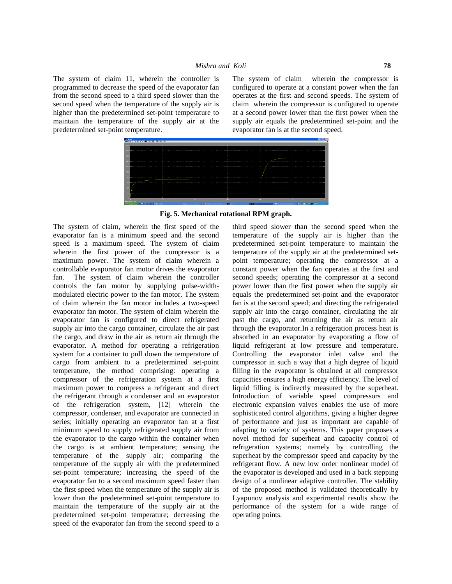The system of claim 11, wherein the controller is The system of claim programmed to decrease the speed of the evaporator fan from the second speed to a third speed slower than the second speed when the temperature of the supply air is higher than the predetermined set-point temperature to maintain the temperature of the supply air at the predetermined set-point temperature.

wherein the compressor is configured to operate at a constant power when the fan operates at the first and second speeds. The system of claim wherein the compressor is configured to operate at a second power lower than the first power when the supply air equals the predetermined set-point and the evaporator fan is at the second speed.



### **Fig. 5. Mechanical rotational RPM graph.**

The system of claim, wherein the first speed of the evaporator fan is a minimum speed and the second speed is a maximum speed. The system of claim wherein the first power of the compressor is a maximum power. The system of claim wherein a controllable evaporator fan motor drives the evaporator fan. The system of claim wherein the controller controls the fan motor by supplying pulse-width modulated electric power to the fan motor. The system of claim wherein the fan motor includes a two-speed evaporator fan motor. The system of claim wherein the evaporator fan is configured to direct refrigerated supply air into the cargo container, circulate the air past the cargo, and draw in the air as return air through the evaporator. A method for operating a refrigeration system for a container to pull down the temperature of cargo from ambient to a predetermined set-point temperature, the method comprising: operating a compressor of the refrigeration system at a first maximum power to compress a refrigerant and direct the refrigerant through a condenser and an evaporator of the refrigeration system, [12] wherein the compressor, condenser, and evaporator are connected in series; initially operating an evaporator fan at a first minimum speed to supply refrigerated supply air from the evaporator to the cargo within the container when the cargo is at ambient temperature; sensing the temperature of the supply air; comparing the temperature of the supply air with the predetermined set-point temperature; increasing the speed of the evaporator fan to a second maximum speed faster than the first speed when the temperature of the supply air is lower than the predetermined set-point temperature to maintain the temperature of the supply air at the predetermined set-point temperature; decreasing the speed of the evaporator fan from the second speed to a

third speed slower than the second speed when the temperature of the supply air is higher than the predetermined set-point temperature to maintain the temperature of the supply air at the predetermined set point temperature; operating the compressor at a constant power when the fan operates at the first and second speeds; operating the compressor at a second power lower than the first power when the supply air equals the predetermined set-point and the evaporator fan is at the second speed; and directing the refrigerated supply air into the cargo container, circulating the air past the cargo, and returning the air as return air through the evaporator.In a refrigeration process heat is absorbed in an evaporator by evaporating a flow of liquid refrigerant at low pressure and temperature. Controlling the evaporator inlet valve and the compressor in such a way that a high degree of liquid filling in the evaporator is obtained at all compressor capacities ensures a high energy efficiency. The level of liquid filling is indirectly measured by the superheat. Introduction of variable speed compressors and electronic expansion valves enables the use of more sophisticated control algorithms, giving a higher degree of performance and just as important are capable of adapting to variety of systems. This paper proposes a novel method for superheat and capacity control of refrigeration systems; namely by controlling the superheat by the compressor speed and capacity by the refrigerant flow. A new low order nonlinear model of the evaporator is developed and used in a back stepping design of a nonlinear adaptive controller. The stability of the proposed method is validated theoretically by Lyapunov analysis and experimental results show the performance of the system for a wide range of operating points.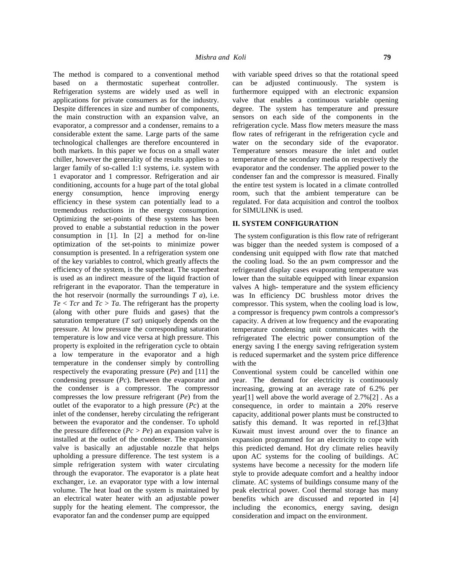The method is compared to a conventional method based on a thermostatic superheat controller. Refrigeration systems are widely used as well in applications for private consumers as for the industry. Despite differences in size and number of components, the main construction with an expansion valve, an evaporator, a compressor and a condenser, remains to a considerable extent the same. Large parts of the same technological challenges are therefore encountered in both markets. In this paper we focus on a small water chiller, however the generality of the results applies to a larger family of so-called 1:1 systems, i.e. system with 1 evaporator and 1 compressor. Refrigeration and air conditioning, accounts for a huge part of the total global energy consumption, hence improving energy efficiency in these system can potentially lead to a tremendous reductions in the energy consumption. Optimizing the set-points of these systems has been proved to enable a substantial reduction in the power consumption in [1]. In [2] a method for on-line optimization of the set-points to minimize power consumption is presented. In a refrigeration system one of the key variables to control, which greatly affects the efficiency of the system, is the superheat. The superheat is used as an indirect measure of the liquid fraction of refrigerant in the evaporator. Than the temperature in the hot reservoir (normally the surroundings *T a*), i.e.  $Te < Tcr$  and  $Tc > Ta$ . The refrigerant has the property (along with other pure fluids and gases) that the saturation temperature (*T sat*) uniquely depends on the pressure. At low pressure the corresponding saturation temperature is low and vice versa at high pressure. This property is exploited in the refrigeration cycle to obtain a low temperature in the evaporator and a high temperature in the condenser simply by controlling respectively the evaporating pressure (*Pe*) and [11] the condensing pressure (*Pc*). Between the evaporator and the condenser is a compressor. The compressor compresses the low pressure refrigerant (*Pe*) from the outlet of the evaporator to a high pressure (*Pc*) at the inlet of the condenser, hereby circulating the refrigerant between the evaporator and the condenser. To uphold the pressure difference  $(Pc > Pe)$  an expansion valve is installed at the outlet of the condenser. The expansion valve is basically an adjustable nozzle that helps upholding a pressure difference. The test system is a simple refrigeration system with water circulating through the evaporator. The evaporator is a plate heat exchanger, i.e. an evaporator type with a low internal volume. The heat load on the system is maintained by an electrical water heater with an adjustable power supply for the heating element. The compressor, the evaporator fan and the condenser pump are equipped

with variable speed drives so that the rotational speed can be adjusted continuously. The system is furthermore equipped with an electronic expansion valve that enables a continuous variable opening degree. The system has temperature and pressure sensors on each side of the components in the refrigeration cycle. Mass flow meters measure the mass flow rates of refrigerant in the refrigeration cycle and water on the secondary side of the evaporator. Temperature sensors measure the inlet and outlet temperature of the secondary media on respectively the evaporator and the condenser. The applied power to the condenser fan and the compressor is measured. Finally the entire test system is located in a climate controlled room, such that the ambient temperature can be regulated. For data acquisition and control the toolbox for SIMULINK is used.

#### **II. SYSTEM CONFIGURATION**

The system configuration is this flow rate of refrigerant was bigger than the needed system is composed of a condensing unit equipped with flow rate that matched the cooling load. So the an pwm compressor and the refrigerated display cases evaporating temperature was lower than the suitable equipped with linear expansion valves A high- temperature and the system efficiency was In efficiency DC brushless motor drives the compressor. This system, when the cooling load is low, a compressor is frequency pwm controls a compressor's capacity. A driven at low frequency and the evaporating temperature condensing unit communicates with the refrigerated The electric power consumption of the energy saving I the energy saving refrigeration system is reduced supermarket and the system price difference with the

Conventional system could be cancelled within one year. The demand for electricity is continuously increasing, growing at an average rate of 6.2% per year[1] well above the world average of 2.7%[2] . As a consequence, in order to maintain a 20% reserve capacity, additional power plants must be constructed to satisfy this demand. It was reported in ref.[3] that Kuwait must invest around over the to finance an expansion programmed for an electricity to cope with this predicted demand. Hot dry climate relies heavily upon AC systems for the cooling of buildings. AC systems have become a necessity for the modern life style to provide adequate comfort and a healthy indoor climate. AC systems of buildings consume many of the peak electrical power. Cool thermal storage has many benefits which are discussed and reported in [4] including the economics, energy saving, design consideration and impact on the environment.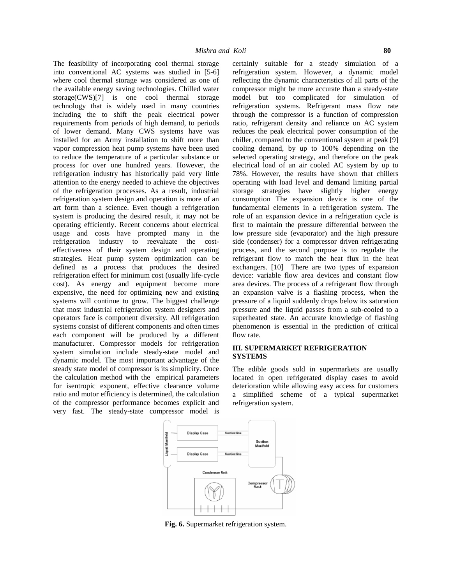The feasibility of incorporating cool thermal storage into conventional AC systems was studied in [5-6] where cool thermal storage was considered as one of the available energy saving technologies. Chilled water storage(CWS)[7] is one cool thermal storage technology that is widely used in many countries including the to shift the peak electrical power requirements from periods of high demand, to periods of lower demand. Many CWS systems have was installed for an Army installation to shift more than vapor compression heat pump systems have been used to reduce the temperature of a particular substance or process for over one hundred years. However, the refrigeration industry has historically paid very little attention to the energy needed to achieve the objectives of the refrigeration processes. As a result, industrial refrigeration system design and operation is more of an art form than a science. Even though a refrigeration system is producing the desired result, it may not be operating efficiently. Recent concerns about electrical usage and costs have prompted many in the refrigeration industry to reevaluate the cost effectiveness of their system design and operating strategies. Heat pump system optimization can be defined as a process that produces the desired refrigeration effect for minimum cost (usually life-cycle cost). As energy and equipment become more expensive, the need for optimizing new and existing systems will continue to grow. The biggest challenge that most industrial refrigeration system designers and operators face is component diversity. All refrigeration systems consist of different components and often times each component will be produced by a different manufacturer. Compressor models for refrigeration system simulation include steady-state model and dynamic model. The most important advantage of the steady state model of compressor is its simplicity. Once the calculation method with the empirical parameters for isentropic exponent, effective clearance volume ratio and motor efficiency is determined, the calculation of the compressor performance becomes explicit and very fast. The steady-state compressor model is

certainly suitable for a steady simulation of a refrigeration system. However, a dynamic model reflecting the dynamic characteristics of all parts of the compressor might be more accurate than a steady-state model but too complicated for simulation of refrigeration systems. Refrigerant mass flow rate through the compressor is a function of compression ratio, refrigerant density and reliance on AC system reduces the peak electrical power consumption of the chiller, compared to the conventional system at peak [9] cooling demand, by up to 100% depending on the selected operating strategy, and therefore on the peak electrical load of an air cooled AC system by up to 78%. However, the results have shown that chillers operating with load level and demand limiting partial storage strategies have slightly higher energy consumption The expansion device is one of the fundamental elements in a refrigeration system. The role of an expansion device in a refrigeration cycle is first to maintain the pressure differential between the low pressure side (evaporator) and the high pressure side (condenser) for a compressor driven refrigerating process, and the second purpose is to regulate the refrigerant flow to match the heat flux in the heat exchangers. [10] There are two types of expansion device: variable flow area devices and constant flow area devices. The process of a refrigerant flow through an expansion valve is a flashing process, when the pressure of a liquid suddenly drops below its saturation pressure and the liquid passes from a sub-cooled to a superheated state. An accurate knowledge of flashing phenomenon is essential in the prediction of critical flow rate.

# **III. SUPERMARKET REFRIGERATION SYSTEMS**

The edible goods sold in supermarkets are usually located in open refrigerated display cases to avoid deterioration while allowing easy access for customers a simplified scheme of a typical supermarket refrigeration system.



**Fig. 6.** Supermarket refrigeration system.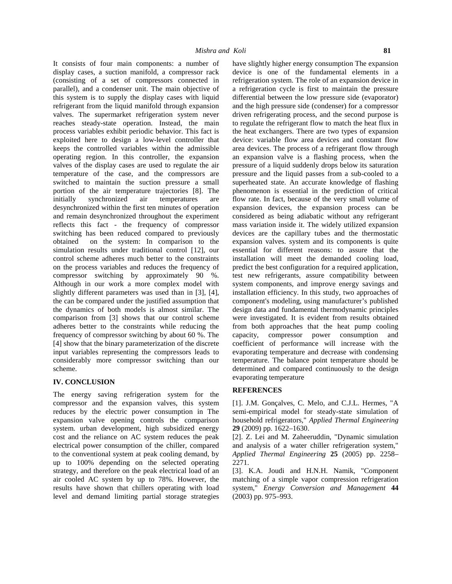It consists of four main components: a number of display cases, a suction manifold, a compressor rack (consisting of a set of compressors connected in parallel), and a condenser unit. The main objective of this system is to supply the display cases with liquid refrigerant from the liquid manifold through expansion valves. The supermarket refrigeration system never reaches steady-state operation. Instead, the main process variables exhibit periodic behavior. This fact is exploited here to design a low-level controller that keeps the controlled variables within the admissible operating region. In this controller, the expansion valves of the display cases are used to regulate the air temperature of the case, and the compressors are switched to maintain the suction pressure a small portion of the air temperature trajectories [8]. The initially synchronized air temperatures are desynchronized within the first ten minutes of operation and remain desynchronized throughout the experiment reflects this fact - the frequency of compressor switching has been reduced compared to previously obtained on the system: In comparison to the simulation results under traditional control [12], our control scheme adheres much better to the constraints on the process variables and reduces the frequency of compressor switching by approximately 90 %. Although in our work a more complex model with slightly different parameters was used than in [3], [4], the can be compared under the justified assumption that the dynamics of both models is almost similar. The comparison from [3] shows that our control scheme adheres better to the constraints while reducing the frequency of compressor switching by about 60 %. The [4] show that the binary parameterization of the discrete input variables representing the compressors leads to considerably more compressor switching than our scheme.

# **IV. CONCLUSION**

The energy saving refrigeration system for the compressor and the expansion valves, this system reduces by the electric power consumption in The expansion valve opening controls the comparison system. urban development, high subsidized energy cost and the reliance on AC system reduces the peak electrical power consumption of the chiller, compared to the conventional system at peak cooling demand, by up to 100% depending on the selected operating strategy, and therefore on the peak electrical load of an air cooled AC system by up to 78%. However, the results have shown that chillers operating with load level and demand limiting partial storage strategies have slightly higher energy consumption The expansion device is one of the fundamental elements in a refrigeration system. The role of an expansion device in a refrigeration cycle is first to maintain the pressure differential between the low pressure side (evaporator) and the high pressure side (condenser) for a compressor driven refrigerating process, and the second purpose is to regulate the refrigerant flow to match the heat flux in the heat exchangers. There are two types of expansion device: variable flow area devices and constant flow area devices. The process of a refrigerant flow through an expansion valve is a flashing process, when the pressure of a liquid suddenly drops below its saturation pressure and the liquid passes from a sub-cooled to a superheated state. An accurate knowledge of flashing phenomenon is essential in the prediction of critical flow rate. In fact, because of the very small volume of expansion devices, the expansion process can be considered as being adiabatic without any refrigerant mass variation inside it. The widely utilized expansion devices are the capillary tubes and the thermostatic expansion valves. system and its components is quite essential for different reasons: to assure that the installation will meet the demanded cooling load, predict the best configuration for a required application, test new refrigerants, assure compatibility between system components, and improve energy savings and installation efficiency. In this study, two approaches of component's modeling, using manufacturer's published design data and fundamental thermodynamic principles were investigated. It is evident from results obtained from both approaches that the heat pump cooling capacity, compressor power consumption and coefficient of performance will increase with the evaporating temperature and decrease with condensing temperature. The balance point temperature should be determined and compared continuously to the design evaporating temperature

# **REFERENCES**

[1]. J.M. Gonçalves, C. Melo, and C.J.L. Hermes, "A semi-empirical model for steady-state simulation of household refrigerators," *Applied Thermal Engineering* **29** (2009) pp. 1622–1630.

[2]. Z. Lei and M. Zaheeruddin, "Dynamic simulation and analysis of a water chiller refrigeration system," *Applied Thermal Engineering* **25** (2005) pp. 2258– 2271.

[3]. K.A. Joudi and H.N.H. Namik, "Component matching of a simple vapor compression refrigeration system," *Energy Conversion and Management* **44** (2003) pp. 975–993.